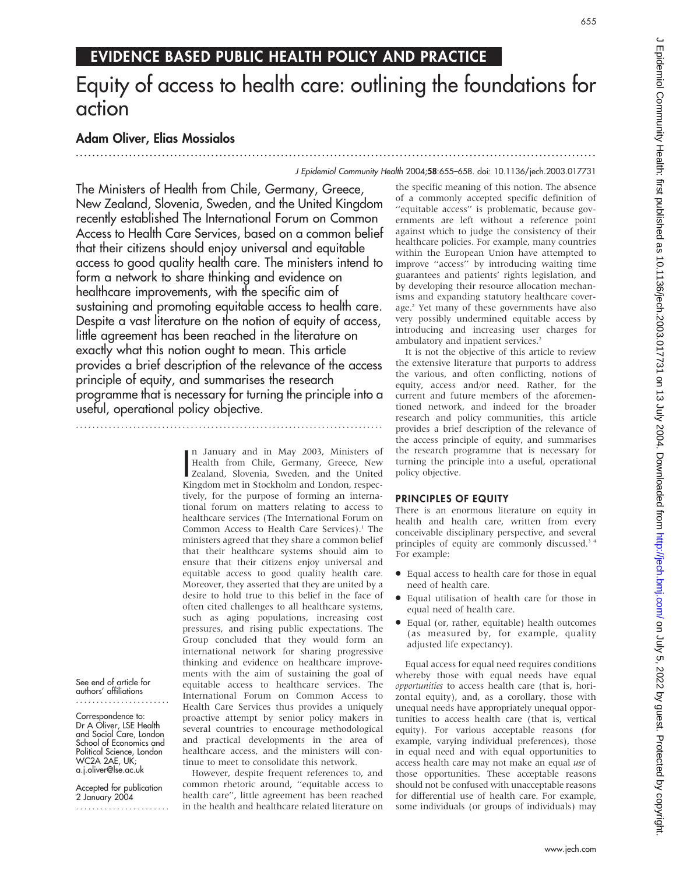## EVIDENCE BASED PUBLIC HEALTH POLICY AND PRACTICE

# Equity of access to health care: outlining the foundations for action

...............................................................................................................................

### Adam Oliver, Elias Mossialos

#### J Epidemiol Community Health 2004;58:655–658. doi: 10.1136/jech.2003.017731

The Ministers of Health from Chile, Germany, Greece, New Zealand, Slovenia, Sweden, and the United Kingdom recently established The International Forum on Common Access to Health Care Services, based on a common belief that their citizens should enjoy universal and equitable access to good quality health care. The ministers intend to form a network to share thinking and evidence on healthcare improvements, with the specific aim of sustaining and promoting equitable access to health care. Despite a vast literature on the notion of equity of access, little agreement has been reached in the literature on exactly what this notion ought to mean. This article provides a brief description of the relevance of the access principle of equity, and summarises the research programme that is necessary for turning the principle into a useful, operational policy objective.

...........................................................................

In January and in May 2003, Ministers of<br>
Health from Chile, Germany, Greece, New<br>
Zealand, Slovenia, Sweden, and the United<br>
Xiadom metals, Sweden, and the United n January and in May 2003, Ministers of Health from Chile, Germany, Greece, New Kingdom met in Stockholm and London, respectively, for the purpose of forming an international forum on matters relating to access to healthcare services (The International Forum on Common Access to Health Care Services).<sup>1</sup> The ministers agreed that they share a common belief that their healthcare systems should aim to ensure that their citizens enjoy universal and equitable access to good quality health care. Moreover, they asserted that they are united by a desire to hold true to this belief in the face of often cited challenges to all healthcare systems, such as aging populations, increasing cost pressures, and rising public expectations. The Group concluded that they would form an international network for sharing progressive thinking and evidence on healthcare improvements with the aim of sustaining the goal of equitable access to healthcare services. The International Forum on Common Access to Health Care Services thus provides a uniquely proactive attempt by senior policy makers in several countries to encourage methodological and practical developments in the area of healthcare access, and the ministers will continue to meet to consolidate this network.

However, despite frequent references to, and common rhetoric around, ''equitable access to health care'', little agreement has been reached in the health and healthcare related literature on

the specific meaning of this notion. The absence of a commonly accepted specific definition of ''equitable access'' is problematic, because governments are left without a reference point against which to judge the consistency of their healthcare policies. For example, many countries within the European Union have attempted to improve ''access'' by introducing waiting time guarantees and patients' rights legislation, and by developing their resource allocation mechanisms and expanding statutory healthcare coverage.<sup>2</sup> Yet many of these governments have also very possibly undermined equitable access by introducing and increasing user charges for ambulatory and inpatient services.<sup>2</sup>

It is not the objective of this article to review the extensive literature that purports to address the various, and often conflicting, notions of equity, access and/or need. Rather, for the current and future members of the aforementioned network, and indeed for the broader research and policy communities, this article provides a brief description of the relevance of the access principle of equity, and summarises the research programme that is necessary for turning the principle into a useful, operational policy objective.

#### PRINCIPLES OF EQUITY

There is an enormous literature on equity in health and health care, written from every conceivable disciplinary perspective, and several principles of equity are commonly discussed.<sup>34</sup> For example:

- Equal access to health care for those in equal need of health care.
- N Equal utilisation of health care for those in equal need of health care.
- N Equal (or, rather, equitable) health outcomes (as measured by, for example, quality adjusted life expectancy).

Equal access for equal need requires conditions whereby those with equal needs have equal opportunities to access health care (that is, horizontal equity), and, as a corollary, those with unequal needs have appropriately unequal opportunities to access health care (that is, vertical equity). For various acceptable reasons (for example, varying individual preferences), those in equal need and with equal opportunities to access health care may not make an equal use of those opportunities. These acceptable reasons should not be confused with unacceptable reasons for differential use of health care. For example, some individuals (or groups of individuals) may

See end of article for authors' affiliations .......................

Correspondence to: Dr A Oliver, LSE Health and Social Care, London School of Economics and Political Science, London WC2A 2AE, UK; a.j.oliver@lse.ac.uk

Accepted for publication 2 January 2004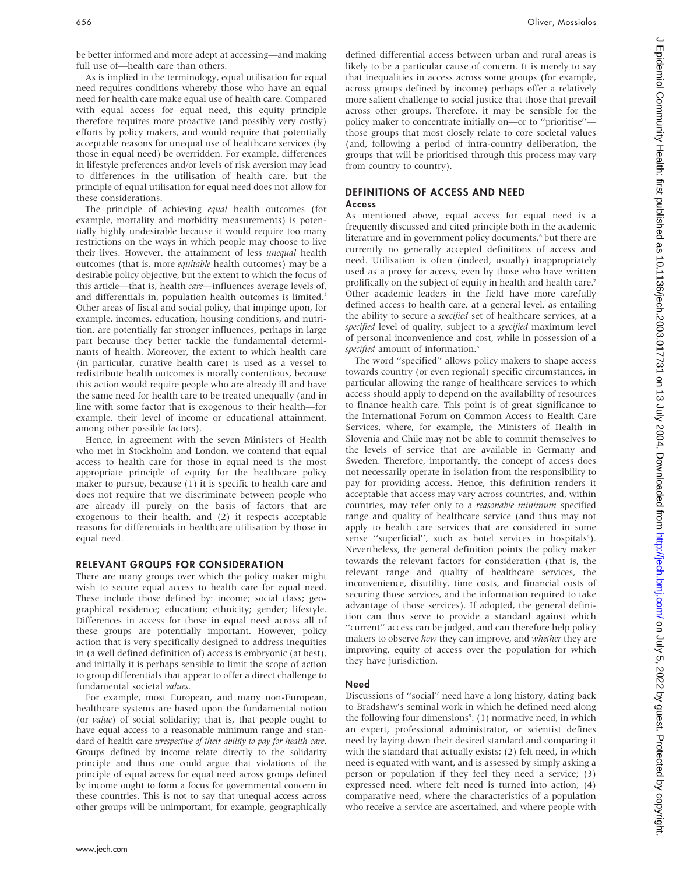be better informed and more adept at accessing—and making full use of—health care than others.

As is implied in the terminology, equal utilisation for equal need requires conditions whereby those who have an equal need for health care make equal use of health care. Compared with equal access for equal need, this equity principle therefore requires more proactive (and possibly very costly) efforts by policy makers, and would require that potentially acceptable reasons for unequal use of healthcare services (by those in equal need) be overridden. For example, differences in lifestyle preferences and/or levels of risk aversion may lead to differences in the utilisation of health care, but the principle of equal utilisation for equal need does not allow for these considerations.

The principle of achieving equal health outcomes (for example, mortality and morbidity measurements) is potentially highly undesirable because it would require too many restrictions on the ways in which people may choose to live their lives. However, the attainment of less unequal health outcomes (that is, more equitable health outcomes) may be a desirable policy objective, but the extent to which the focus of this article—that is, health care—influences average levels of, and differentials in, population health outcomes is limited.<sup>5</sup> Other areas of fiscal and social policy, that impinge upon, for example, incomes, education, housing conditions, and nutrition, are potentially far stronger influences, perhaps in large part because they better tackle the fundamental determinants of health. Moreover, the extent to which health care (in particular, curative health care) is used as a vessel to redistribute health outcomes is morally contentious, because this action would require people who are already ill and have the same need for health care to be treated unequally (and in line with some factor that is exogenous to their health—for example, their level of income or educational attainment, among other possible factors).

Hence, in agreement with the seven Ministers of Health who met in Stockholm and London, we contend that equal access to health care for those in equal need is the most appropriate principle of equity for the healthcare policy maker to pursue, because (1) it is specific to health care and does not require that we discriminate between people who are already ill purely on the basis of factors that are exogenous to their health, and (2) it respects acceptable reasons for differentials in healthcare utilisation by those in equal need.

#### RELEVANT GROUPS FOR CONSIDERATION

There are many groups over which the policy maker might wish to secure equal access to health care for equal need. These include those defined by: income; social class; geographical residence; education; ethnicity; gender; lifestyle. Differences in access for those in equal need across all of these groups are potentially important. However, policy action that is very specifically designed to address inequities in (a well defined definition of) access is embryonic (at best), and initially it is perhaps sensible to limit the scope of action to group differentials that appear to offer a direct challenge to fundamental societal values.

For example, most European, and many non-European, healthcare systems are based upon the fundamental notion (or value) of social solidarity; that is, that people ought to have equal access to a reasonable minimum range and standard of health care irrespective of their ability to pay for health care. Groups defined by income relate directly to the solidarity principle and thus one could argue that violations of the principle of equal access for equal need across groups defined by income ought to form a focus for governmental concern in these countries. This is not to say that unequal access across other groups will be unimportant; for example, geographically defined differential access between urban and rural areas is likely to be a particular cause of concern. It is merely to say that inequalities in access across some groups (for example, across groups defined by income) perhaps offer a relatively more salient challenge to social justice that those that prevail across other groups. Therefore, it may be sensible for the policy maker to concentrate initially on—or to ''prioritise'' those groups that most closely relate to core societal values (and, following a period of intra-country deliberation, the groups that will be prioritised through this process may vary from country to country).

#### DEFINITIONS OF ACCESS AND NEED Access

As mentioned above, equal access for equal need is a frequently discussed and cited principle both in the academic literature and in government policy documents,<sup>6</sup> but there are currently no generally accepted definitions of access and need. Utilisation is often (indeed, usually) inappropriately used as a proxy for access, even by those who have written prolifically on the subject of equity in health and health care.7 Other academic leaders in the field have more carefully defined access to health care, at a general level, as entailing the ability to secure a specified set of healthcare services, at a specified level of quality, subject to a specified maximum level of personal inconvenience and cost, while in possession of a specified amount of information.<sup>8</sup>

The word ''specified'' allows policy makers to shape access towards country (or even regional) specific circumstances, in particular allowing the range of healthcare services to which access should apply to depend on the availability of resources to finance health care. This point is of great significance to the International Forum on Common Access to Health Care Services, where, for example, the Ministers of Health in Slovenia and Chile may not be able to commit themselves to the levels of service that are available in Germany and Sweden. Therefore, importantly, the concept of access does not necessarily operate in isolation from the responsibility to pay for providing access. Hence, this definition renders it acceptable that access may vary across countries, and, within countries, may refer only to a reasonable minimum specified range and quality of healthcare service (and thus may not apply to health care services that are considered in some sense "superficial", such as hotel services in hospitals<sup>4</sup>). Nevertheless, the general definition points the policy maker towards the relevant factors for consideration (that is, the relevant range and quality of healthcare services, the inconvenience, disutility, time costs, and financial costs of securing those services, and the information required to take advantage of those services). If adopted, the general definition can thus serve to provide a standard against which ''current'' access can be judged, and can therefore help policy makers to observe how they can improve, and whether they are improving, equity of access over the population for which they have jurisdiction.

#### Need

Discussions of ''social'' need have a long history, dating back to Bradshaw's seminal work in which he defined need along the following four dimensions<sup>9</sup>: (1) normative need, in which an expert, professional administrator, or scientist defines need by laying down their desired standard and comparing it with the standard that actually exists; (2) felt need, in which need is equated with want, and is assessed by simply asking a person or population if they feel they need a service; (3) expressed need, where felt need is turned into action; (4) comparative need, where the characteristics of a population who receive a service are ascertained, and where people with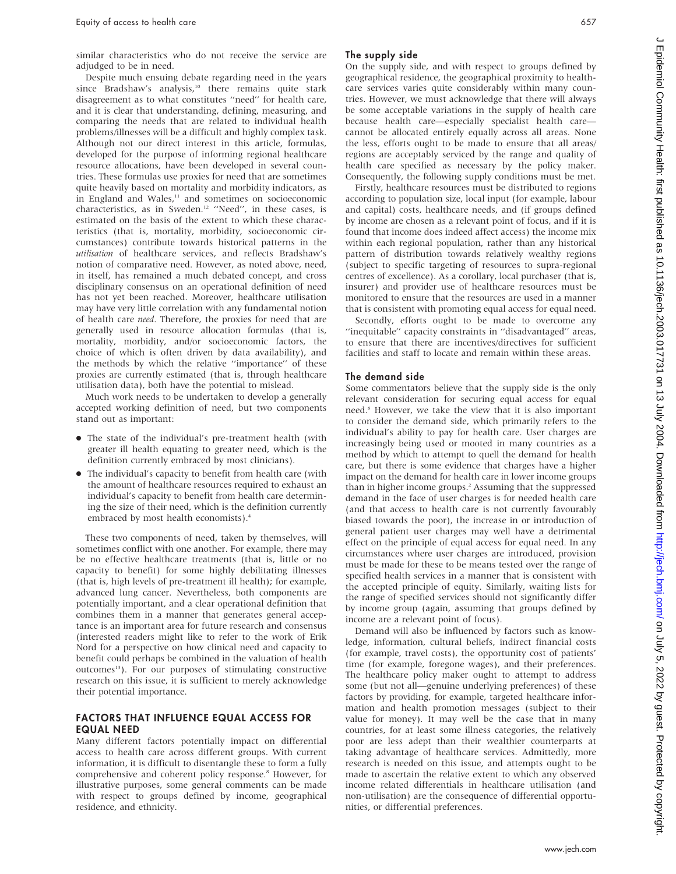similar characteristics who do not receive the service are adjudged to be in need.

Despite much ensuing debate regarding need in the years since Bradshaw's analysis,<sup>10</sup> there remains quite stark disagreement as to what constitutes ''need'' for health care, and it is clear that understanding, defining, measuring, and comparing the needs that are related to individual health problems/illnesses will be a difficult and highly complex task. Although not our direct interest in this article, formulas, developed for the purpose of informing regional healthcare resource allocations, have been developed in several countries. These formulas use proxies for need that are sometimes quite heavily based on mortality and morbidity indicators, as in England and Wales,<sup>11</sup> and sometimes on socioeconomic characteristics, as in Sweden.<sup>12</sup> "Need", in these cases, is estimated on the basis of the extent to which these characteristics (that is, mortality, morbidity, socioeconomic circumstances) contribute towards historical patterns in the utilisation of healthcare services, and reflects Bradshaw's notion of comparative need. However, as noted above, need, in itself, has remained a much debated concept, and cross disciplinary consensus on an operational definition of need has not yet been reached. Moreover, healthcare utilisation may have very little correlation with any fundamental notion of health care need. Therefore, the proxies for need that are generally used in resource allocation formulas (that is, mortality, morbidity, and/or socioeconomic factors, the choice of which is often driven by data availability), and the methods by which the relative ''importance'' of these proxies are currently estimated (that is, through healthcare utilisation data), both have the potential to mislead.

Much work needs to be undertaken to develop a generally accepted working definition of need, but two components stand out as important:

- The state of the individual's pre-treatment health (with greater ill health equating to greater need, which is the definition currently embraced by most clinicians).
- The individual's capacity to benefit from health care (with the amount of healthcare resources required to exhaust an individual's capacity to benefit from health care determining the size of their need, which is the definition currently embraced by most health economists).4

These two components of need, taken by themselves, will sometimes conflict with one another. For example, there may be no effective healthcare treatments (that is, little or no capacity to benefit) for some highly debilitating illnesses (that is, high levels of pre-treatment ill health); for example, advanced lung cancer. Nevertheless, both components are potentially important, and a clear operational definition that combines them in a manner that generates general acceptance is an important area for future research and consensus (interested readers might like to refer to the work of Erik Nord for a perspective on how clinical need and capacity to benefit could perhaps be combined in the valuation of health outcomes<sup>13</sup>). For our purposes of stimulating constructive research on this issue, it is sufficient to merely acknowledge their potential importance.

#### FACTORS THAT INFLUENCE EQUAL ACCESS FOR EQUAL NEED

Many different factors potentially impact on differential access to health care across different groups. With current information, it is difficult to disentangle these to form a fully comprehensive and coherent policy response.<sup>8</sup> However, for illustrative purposes, some general comments can be made with respect to groups defined by income, geographical residence, and ethnicity.

#### The supply side

On the supply side, and with respect to groups defined by geographical residence, the geographical proximity to healthcare services varies quite considerably within many countries. However, we must acknowledge that there will always be some acceptable variations in the supply of health care because health care—especially specialist health care cannot be allocated entirely equally across all areas. None the less, efforts ought to be made to ensure that all areas/ regions are acceptably serviced by the range and quality of health care specified as necessary by the policy maker. Consequently, the following supply conditions must be met.

Firstly, healthcare resources must be distributed to regions according to population size, local input (for example, labour and capital) costs, healthcare needs, and (if groups defined by income are chosen as a relevant point of focus, and if it is found that income does indeed affect access) the income mix within each regional population, rather than any historical pattern of distribution towards relatively wealthy regions (subject to specific targeting of resources to supra-regional centres of excellence). As a corollary, local purchaser (that is, insurer) and provider use of healthcare resources must be monitored to ensure that the resources are used in a manner that is consistent with promoting equal access for equal need.

Secondly, efforts ought to be made to overcome any ''inequitable'' capacity constraints in ''disadvantaged'' areas, to ensure that there are incentives/directives for sufficient facilities and staff to locate and remain within these areas.

#### The demand side

Some commentators believe that the supply side is the only relevant consideration for securing equal access for equal need.8 However, we take the view that it is also important to consider the demand side, which primarily refers to the individual's ability to pay for health care. User charges are increasingly being used or mooted in many countries as a method by which to attempt to quell the demand for health care, but there is some evidence that charges have a higher impact on the demand for health care in lower income groups than in higher income groups.<sup>2</sup> Assuming that the suppressed demand in the face of user charges is for needed health care (and that access to health care is not currently favourably biased towards the poor), the increase in or introduction of general patient user charges may well have a detrimental effect on the principle of equal access for equal need. In any circumstances where user charges are introduced, provision must be made for these to be means tested over the range of specified health services in a manner that is consistent with the accepted principle of equity. Similarly, waiting lists for the range of specified services should not significantly differ by income group (again, assuming that groups defined by income are a relevant point of focus).

Demand will also be influenced by factors such as knowledge, information, cultural beliefs, indirect financial costs (for example, travel costs), the opportunity cost of patients' time (for example, foregone wages), and their preferences. The healthcare policy maker ought to attempt to address some (but not all—genuine underlying preferences) of these factors by providing, for example, targeted healthcare information and health promotion messages (subject to their value for money). It may well be the case that in many countries, for at least some illness categories, the relatively poor are less adept than their wealthier counterparts at taking advantage of healthcare services. Admittedly, more research is needed on this issue, and attempts ought to be made to ascertain the relative extent to which any observed income related differentials in healthcare utilisation (and non-utilisation) are the consequence of differential opportunities, or differential preferences.